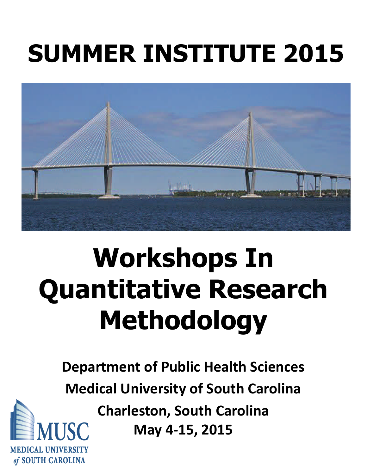# **SUMMER INSTITUTE 2015**



# **Workshops In Quantitative Research Methodology**

**Department of Public Health Sciences Medical University of South Carolina Charleston, South Carolina**

**May 4‐15, 2015**

MEDICAL UNIVERSITY of SOUTH CAROLINA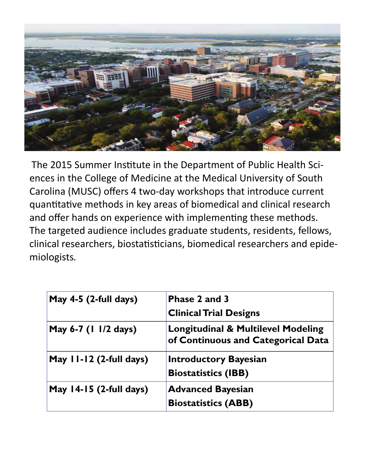

The 2015 Summer Institute in the Department of Public Health Sciences in the College of Medicine at the Medical University of South Carolina (MUSC) offers 4 two-day workshops that introduce current quantitative methods in key areas of biomedical and clinical research and offer hands on experience with implementing these methods. The targeted audience includes graduate students, residents, fellows, clinical researchers, biostatisticians, biomedical researchers and epidemiologists*.*

| May 4-5 (2-full days)     | Phase 2 and 3<br><b>Clinical Trial Designs</b>                                      |
|---------------------------|-------------------------------------------------------------------------------------|
| May 6-7 (1 1/2 days)      | <b>Longitudinal &amp; Multilevel Modeling</b><br>of Continuous and Categorical Data |
| May 11-12 (2-full days)   | <b>Introductory Bayesian</b><br><b>Biostatistics (IBB)</b>                          |
| May $14-15$ (2-full days) | <b>Advanced Bayesian</b><br><b>Biostatistics (ABB)</b>                              |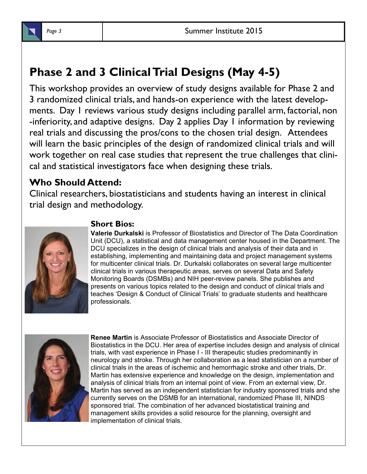## **Phase 2 and 3 Clinical Trial Designs (May 4-5)**

This workshop provides an overview of study designs available for Phase 2 and 3 randomized clinical trials, and hands-on experience with the latest developments. Day 1 reviews various study designs including parallel arm, factorial, non -inferiority, and adaptive designs. Day 2 applies Day 1 information by reviewing real trials and discussing the pros/cons to the chosen trial design. Attendees will learn the basic principles of the design of randomized clinical trials and will work together on real case studies that represent the true challenges that clinical and statistical investigators face when designing these trials.

## **Who Should Attend:**

Clinical researchers, biostatisticians and students having an interest in clinical trial design and methodology.



### **Short Bios:**

**Valerie Durkalski** is Professor of Biostatistics and Director of The Data Coordination Unit (DCU), a statistical and data management center housed in the Department. The DCU specializes in the design of clinical trials and analysis of their data and in establishing, implementing and maintaining data and project management systems for multicenter clinical trials. Dr. Durkalski collaborates on several large multicenter clinical trials in various therapeutic areas, serves on several Data and Safety Monitoring Boards (DSMBs) and NIH peer-review panels. She publishes and presents on various topics related to the design and conduct of clinical trials and teaches 'Design & Conduct of Clinical Trials' to graduate students and healthcare professionals.



**Renee Martin** is Associate Professor of Biostatistics and Associate Director of Biostatistics in the DCU. Her area of expertise includes design and analysis of clinical trials, with vast experience in Phase I - III therapeutic studies predominantly in neurology and stroke. Through her collaboration as a lead statistician on a number of clinical trials in the areas of ischemic and hemorrhagic stroke and other trials, Dr. Martin has extensive experience and knowledge on the design, implementation and analysis of clinical trials from an internal point of view. From an external view, Dr. Martin has served as an independent statistician for industry sponsored trials and she currently serves on the DSMB for an international, randomized Phase III, NINDS sponsored trial. The combination of her advanced biostatistical training and management skills provides a solid resource for the planning, oversight and implementation of clinical trials.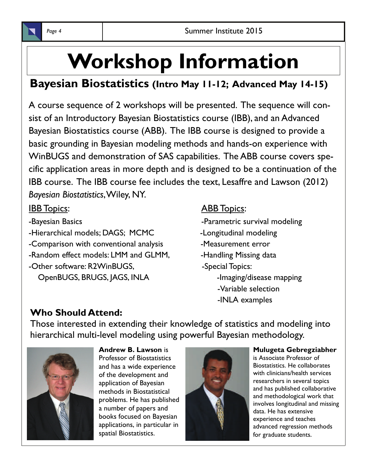

## **Bayesian Biostatistics (Intro May 11-12; Advanced May 14-15)**

A course sequence of 2 workshops will be presented. The sequence will consist of an Introductory Bayesian Biostatistics course (IBB), and an Advanced Bayesian Biostatistics course (ABB). The IBB course is designed to provide a basic grounding in Bayesian modeling methods and hands-on experience with WinBUGS and demonstration of SAS capabilities. The ABB course covers specific application areas in more depth and is designed to be a continuation of the IBB course. The IBB course fee includes the text, Lesaffre and Lawson (2012) *Bayesian Biostatistics*, Wiley, NY.

- 
- -Hierarchical models; DAGS; MCMC -Longitudinal modeling
- -Comparison with conventional analysis -Measurement error
- -Random effect models: LMM and GLMM, Thandling Missing data
- -Other software: R2WinBUGS, Same Special Topics: OpenBUGS, BRUGS, JAGS, INLA - Imaging/disease mapping

## **IBB Topics:** ABB Topics:

- -Bayesian Basics **-Parametric survival modeling** 
	-
	-
	- -
		- -Variable selection
		- -INLA examples

## **Who Should Attend:**

Those interested in extending their knowledge of statistics and modeling into hierarchical multi-level modeling using powerful Bayesian methodology.



**Andrew B. Lawson** is Professor of Biostatistics and has a wide experience of the development and application of Bayesian methods in Biostatistical problems. He has published a number of papers and books focused on Bayesian applications, in particular in spatial Biostatistics.



#### **Mulugeta Gebregziabher**

is Associate Professor of Biostatistics. He collaborates with clinicians/health services researchers in several topics and has published collaborative and methodological work that involves longitudinal and missing data. He has extensive experience and teaches advanced regression methods for graduate students.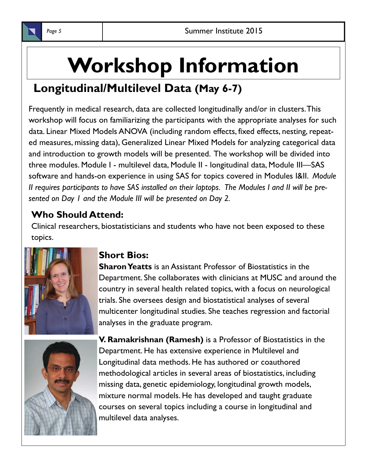

## **Workshop Information**

## **Longitudinal/Multilevel Data (May 6-7)**

Frequently in medical research, data are collected longitudinally and/or in clusters. This workshop will focus on familiarizing the participants with the appropriate analyses for such data. Linear Mixed Models ANOVA (including random effects, fixed effects, nesting, repeated measures, missing data), Generalized Linear Mixed Models for analyzing categorical data and introduction to growth models will be presented. The workshop will be divided into three modules. Module I - multilevel data, Module II - longitudinal data, Module III—SAS software and hands-on experience in using SAS for topics covered in Modules I&II. *Module II requires participants to have SAS installed on their laptops. The Modules I and II will be presented on Day 1 and the Module III will be presented on Day 2.* 

## **Who Should Attend:**

Clinical researchers, biostatisticians and students who have not been exposed to these topics.



### **Short Bios:**

**Sharon Yeatts** is an Assistant Professor of Biostatistics in the Department. She collaborates with clinicians at MUSC and around the country in several health related topics, with a focus on neurological trials. She oversees design and biostatistical analyses of several multicenter longitudinal studies. She teaches regression and factorial analyses in the graduate program.



**V. Ramakrishnan (Ramesh)** is a Professor of Biostatistics in the Department. He has extensive experience in Multilevel and Longitudinal data methods. He has authored or coauthored methodological articles in several areas of biostatistics, including missing data, genetic epidemiology, longitudinal growth models, mixture normal models. He has developed and taught graduate courses on several topics including a course in longitudinal and multilevel data analyses.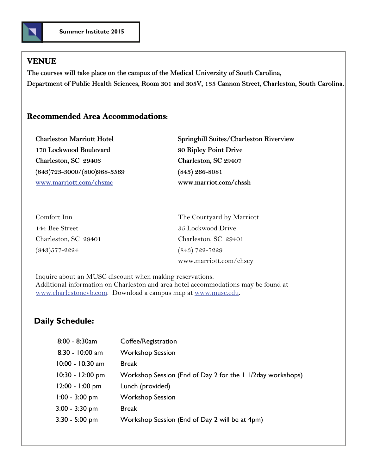

#### **VENUE**

The courses will take place on the campus of the Medical University of South Carolina, The courses will take place on the campus of the Medical University of South Carolina, Department of Public Health Sciences, Room 301 and 305V, 135 Cannon Street, Charleston, South Carolina. Department of Public Health Sciences, Room 301 and 305V, 135 Cannon Street, Charleston, South Carolina.

#### **Recommended Area Accommodations: Recommended Area**

| <b>Charleston Marriott Hotel</b>  | <b>Springhill Suites/Charles</b> |
|-----------------------------------|----------------------------------|
| 170 Lockwood Boulevard            | 90 Ripley Point Drive            |
| Charleston, SC 29403              | Charleston, SC 29407             |
| $(843)723 - 3000/(800)968 - 3569$ | $(843)$ 266-8081                 |
| www.marriott.com/chsmc            | www.marriot.com/chssh            |
|                                   |                                  |

Charleston Marriott Hotel **Springhill Suites/Charleston Riverview** Charleston, SC 29407

| Comfort Inn          | The Courtyard by Marriott |
|----------------------|---------------------------|
| 144 Bee Street       | 35 Lockwood Drive         |
| Charleston, SC 29401 | Charleston, SC 29401      |
| (843)577-2224        | $(843)$ 722-7229          |
|                      | www.marriott.com/chscy    |

Inquire about an MUSC discount when making reservations. Additional information on Charleston and area hotel accommodations may be found at [www.charlestoncvb.com](http://www.charlestoncvb.com/). Download a campus map at [www.musc.edu](http://www.musc.edu/).

#### **Daily Schedule:**

| $8:00 - 8:30$ am   | Coffee/Registration                                         |
|--------------------|-------------------------------------------------------------|
| $8:30 - 10:00$ am  | <b>Workshop Session</b>                                     |
| $10:00 - 10:30$ am | <b>Break</b>                                                |
| 10:30 - 12:00 pm   | Workshop Session (End of Day 2 for the 1 1/2 day workshops) |
| 12:00 - 1:00 pm    | Lunch (provided)                                            |
| $1:00 - 3:00$ pm   | <b>Workshop Session</b>                                     |
| $3:00 - 3:30$ pm   | <b>Break</b>                                                |
| $3:30 - 5:00$ pm   | Workshop Session (End of Day 2 will be at 4pm)              |
|                    |                                                             |